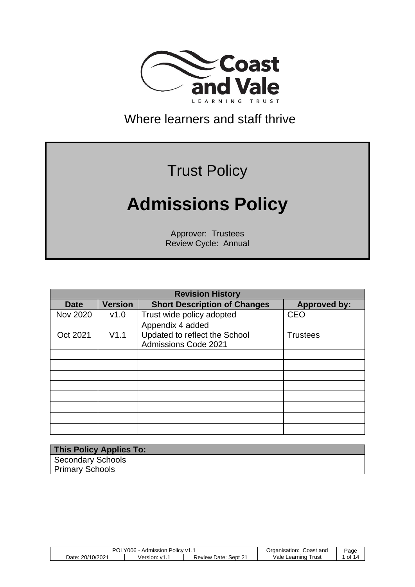

Where learners and staff thrive

# Trust Policy

# **Admissions Policy**

Approver: Trustees Review Cycle: Annual

|                 | <b>Revision History</b> |                                                                           |                     |  |  |
|-----------------|-------------------------|---------------------------------------------------------------------------|---------------------|--|--|
| <b>Date</b>     | <b>Version</b>          | <b>Short Description of Changes</b>                                       | <b>Approved by:</b> |  |  |
| <b>Nov 2020</b> | V1.0                    | Trust wide policy adopted                                                 | <b>CEO</b>          |  |  |
| Oct 2021        | V1.1                    | Appendix 4 added<br>Updated to reflect the School<br>Admissions Code 2021 | <b>Trustees</b>     |  |  |
|                 |                         |                                                                           |                     |  |  |
|                 |                         |                                                                           |                     |  |  |
|                 |                         |                                                                           |                     |  |  |
|                 |                         |                                                                           |                     |  |  |
|                 |                         |                                                                           |                     |  |  |
|                 |                         |                                                                           |                     |  |  |
|                 |                         |                                                                           |                     |  |  |
|                 |                         |                                                                           |                     |  |  |

| <b>This Policy Applies To:</b> |  |
|--------------------------------|--|
| <b>Secondary Schools</b>       |  |
| <b>Primary Schools</b>         |  |

| <b>POL</b><br>Y006<br>≅ Policy v1…<br>Admission , |              |                            | Coast and<br>Organisation: | Page   |
|---------------------------------------------------|--------------|----------------------------|----------------------------|--------|
| 20/10/2021<br>Date:                               | Version: v1. | Sept 21<br>Date:<br>Review | Vale<br>⊺rust<br>Learning  | . of 1 |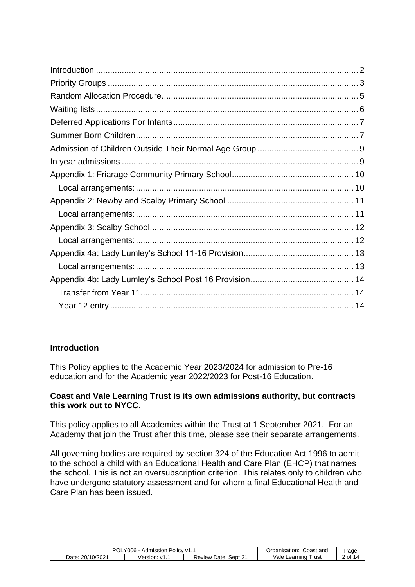# <span id="page-1-0"></span>**Introduction**

This Policy applies to the Academic Year 2023/2024 for admission to Pre-16 education and for the Academic year 2022/2023 for Post-16 Education.

#### **Coast and Vale Learning Trust is its own admissions authority, but contracts this work out to NYCC.**

This policy applies to all Academies within the Trust at 1 September 2021. For an Academy that join the Trust after this time, please see their separate arrangements.

All governing bodies are required by section 324 of the Education Act 1996 to admit to the school a child with an Educational Health and Care Plan (EHCP) that names the school. This is not an oversubscription criterion. This relates only to children who have undergone statutory assessment and for whom a final Educational Health and Care Plan has been issued.

<span id="page-1-1"></span>

| Y006<br>Admission<br>↑ Policy v1. .<br>UL |                     |                            | Coast and<br>Organisation: | Page |
|-------------------------------------------|---------------------|----------------------------|----------------------------|------|
| 20/10/2021<br>Date:                       | Version:<br>∵ v1. . | Sept 21<br>Date:<br>Review | /ale<br>Trust<br>Learning  | of ' |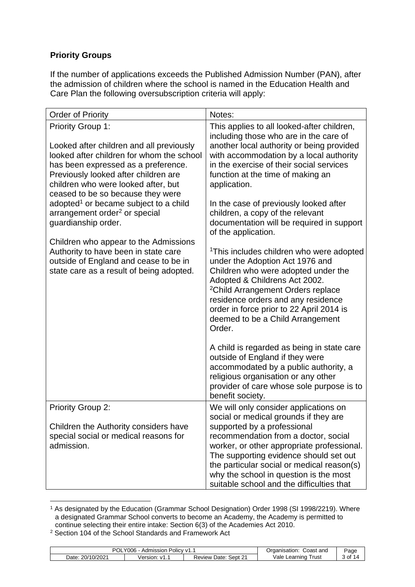# **Priority Groups**

If the number of applications exceeds the Published Admission Number (PAN), after the admission of children where the school is named in the Education Health and Care Plan the following oversubscription criteria will apply:

<span id="page-2-1"></span><span id="page-2-0"></span>

| <b>Order of Priority</b>                                                                                                                                                                                                                                                     | Notes:                                                                                                                                                                                                                                                                                                                                                                                         |
|------------------------------------------------------------------------------------------------------------------------------------------------------------------------------------------------------------------------------------------------------------------------------|------------------------------------------------------------------------------------------------------------------------------------------------------------------------------------------------------------------------------------------------------------------------------------------------------------------------------------------------------------------------------------------------|
| <b>Priority Group 1:</b><br>Looked after children and all previously<br>looked after children for whom the school<br>has been expressed as a preference.<br>Previously looked after children are<br>children who were looked after, but<br>ceased to be so because they were | This applies to all looked-after children,<br>including those who are in the care of<br>another local authority or being provided<br>with accommodation by a local authority<br>in the exercise of their social services<br>function at the time of making an<br>application.                                                                                                                  |
| adopted <sup>1</sup> or became subject to a child<br>arrangement order <sup>2</sup> or special<br>guardianship order.                                                                                                                                                        | In the case of previously looked after<br>children, a copy of the relevant<br>documentation will be required in support<br>of the application.                                                                                                                                                                                                                                                 |
| Children who appear to the Admissions<br>Authority to have been in state care<br>outside of England and cease to be in<br>state care as a result of being adopted.                                                                                                           | <sup>1</sup> This includes children who were adopted<br>under the Adoption Act 1976 and<br>Children who were adopted under the<br>Adopted & Childrens Act 2002.<br><sup>2</sup> Child Arrangement Orders replace<br>residence orders and any residence<br>order in force prior to 22 April 2014 is<br>deemed to be a Child Arrangement<br>Order.<br>A child is regarded as being in state care |
|                                                                                                                                                                                                                                                                              | outside of England if they were<br>accommodated by a public authority, a<br>religious organisation or any other<br>provider of care whose sole purpose is to<br>benefit society.                                                                                                                                                                                                               |
| <b>Priority Group 2:</b>                                                                                                                                                                                                                                                     | We will only consider applications on<br>social or medical grounds if they are                                                                                                                                                                                                                                                                                                                 |
| Children the Authority considers have<br>special social or medical reasons for<br>admission.                                                                                                                                                                                 | supported by a professional<br>recommendation from a doctor, social<br>worker, or other appropriate professional.<br>The supporting evidence should set out<br>the particular social or medical reason(s)<br>why the school in question is the most<br>suitable school and the difficulties that                                                                                               |

<sup>1</sup> As designated by the Education (Grammar School Designation) Order 1998 (SI 1998/2219). Where a designated Grammar School converts to become an Academy, the Academy is permitted to continue selecting their entire intake: Section 6(3) of the Academies Act 2010.

<sup>2</sup> Section 104 of the School Standards and Framework Act

| <b>POL</b><br>Y006<br>Admission<br>$^{\circ}$ Policy v1. . |                |                            | Coast and<br>Organisation: | Page |
|------------------------------------------------------------|----------------|----------------------------|----------------------------|------|
| 20/10/2021<br>Date:                                        | Version: v1. . | Sept 21<br>Date:<br>Review | Vale<br>Trust<br>Learning  | 0f   |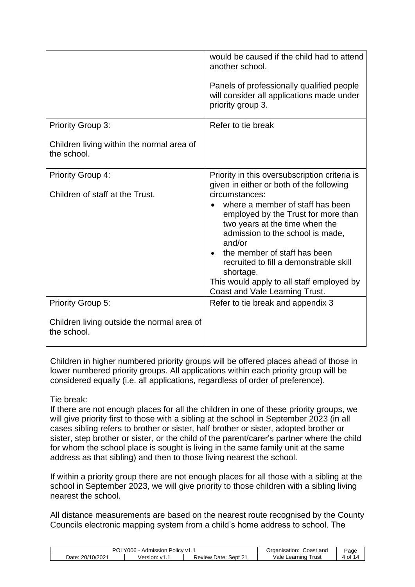|                                                           | would be caused if the child had to attend<br>another school.<br>Panels of professionally qualified people<br>will consider all applications made under<br>priority group 3.                                                                                                                                                                    |
|-----------------------------------------------------------|-------------------------------------------------------------------------------------------------------------------------------------------------------------------------------------------------------------------------------------------------------------------------------------------------------------------------------------------------|
|                                                           |                                                                                                                                                                                                                                                                                                                                                 |
| <b>Priority Group 3:</b>                                  | Refer to tie break                                                                                                                                                                                                                                                                                                                              |
| Children living within the normal area of<br>the school.  |                                                                                                                                                                                                                                                                                                                                                 |
| <b>Priority Group 4:</b>                                  | Priority in this oversubscription criteria is<br>given in either or both of the following                                                                                                                                                                                                                                                       |
| Children of staff at the Trust.                           | circumstances:<br>where a member of staff has been<br>employed by the Trust for more than<br>two years at the time when the<br>admission to the school is made,<br>and/or<br>the member of staff has been<br>recruited to fill a demonstrable skill<br>shortage.<br>This would apply to all staff employed by<br>Coast and Vale Learning Trust. |
| Priority Group 5:                                         | Refer to tie break and appendix 3                                                                                                                                                                                                                                                                                                               |
| Children living outside the normal area of<br>the school. |                                                                                                                                                                                                                                                                                                                                                 |

Children in higher numbered priority groups will be offered places ahead of those in lower numbered priority groups. All applications within each priority group will be considered equally (i.e. all applications, regardless of order of preference).

#### Tie break:

If there are not enough places for all the children in one of these priority groups, we will give priority first to those with a sibling at the school in September 2023 (in all cases sibling refers to brother or sister, half brother or sister, adopted brother or sister, step brother or sister, or the child of the parent/carer's partner where the child for whom the school place is sought is living in the same family unit at the same address as that sibling) and then to those living nearest the school.

If within a priority group there are not enough places for all those with a sibling at the school in September 2023, we will give priority to those children with a sibling living nearest the school.

All distance measurements are based on the nearest route recognised by the County Councils electronic mapping system from a child's home address to school. The

| וחכ<br>. Policy v1<br>$Y006 -$<br>Admission<br>UL |              |                                       | Coast and<br>Organisation: | Page            |
|---------------------------------------------------|--------------|---------------------------------------|----------------------------|-----------------|
| 20/10/2021<br>Date:                               | Version: v1. | $\sim$<br>Sept 2<br>Date: '<br>Review | Vale<br>⊺rust<br>Learning  | $+$ of $\prime$ |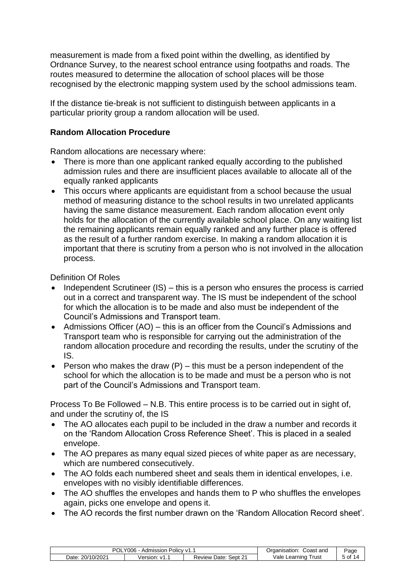measurement is made from a fixed point within the dwelling, as identified by Ordnance Survey, to the nearest school entrance using footpaths and roads. The routes measured to determine the allocation of school places will be those recognised by the electronic mapping system used by the school admissions team.

If the distance tie-break is not sufficient to distinguish between applicants in a particular priority group a random allocation will be used.

#### <span id="page-4-0"></span>**Random Allocation Procedure**

Random allocations are necessary where:

- There is more than one applicant ranked equally according to the published admission rules and there are insufficient places available to allocate all of the equally ranked applicants
- This occurs where applicants are equidistant from a school because the usual method of measuring distance to the school results in two unrelated applicants having the same distance measurement. Each random allocation event only holds for the allocation of the currently available school place. On any waiting list the remaining applicants remain equally ranked and any further place is offered as the result of a further random exercise. In making a random allocation it is important that there is scrutiny from a person who is not involved in the allocation process.

Definition Of Roles

- Independent Scrutineer (IS) this is a person who ensures the process is carried out in a correct and transparent way. The IS must be independent of the school for which the allocation is to be made and also must be independent of the Council's Admissions and Transport team.
- Admissions Officer (AO) this is an officer from the Council's Admissions and Transport team who is responsible for carrying out the administration of the random allocation procedure and recording the results, under the scrutiny of the IS.
- Person who makes the draw  $(P)$  this must be a person independent of the school for which the allocation is to be made and must be a person who is not part of the Council's Admissions and Transport team.

Process To Be Followed – N.B. This entire process is to be carried out in sight of, and under the scrutiny of, the IS

- The AO allocates each pupil to be included in the draw a number and records it on the 'Random Allocation Cross Reference Sheet'. This is placed in a sealed envelope.
- The AO prepares as many equal sized pieces of white paper as are necessary, which are numbered consecutively.
- The AO folds each numbered sheet and seals them in identical envelopes, i.e. envelopes with no visibly identifiable differences.
- The AO shuffles the envelopes and hands them to P who shuffles the envelopes again, picks one envelope and opens it.
- The AO records the first number drawn on the 'Random Allocation Record sheet'.

| '006<br>Admission<br>≧ Policy ∨1. .<br>'OL |                 |                                         | Coast and<br>Organisation: | Page                           |
|--------------------------------------------|-----------------|-----------------------------------------|----------------------------|--------------------------------|
| 20/10/2021<br>Date:                        | Version:<br>. . | $\sim$ 0.4<br>Sept 2<br>Date:<br>Review | Vale<br>Trust<br>∟earnıng  | of 1<br>$\boldsymbol{\Lambda}$ |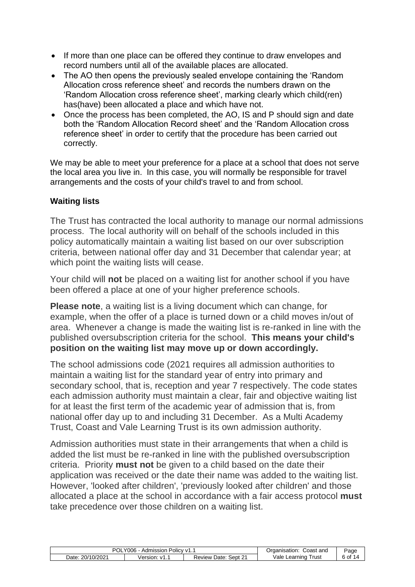- If more than one place can be offered they continue to draw envelopes and record numbers until all of the available places are allocated.
- The AO then opens the previously sealed envelope containing the 'Random Allocation cross reference sheet' and records the numbers drawn on the 'Random Allocation cross reference sheet', marking clearly which child(ren) has(have) been allocated a place and which have not.
- Once the process has been completed, the AO, IS and P should sign and date both the 'Random Allocation Record sheet' and the 'Random Allocation cross reference sheet' in order to certify that the procedure has been carried out correctly.

We may be able to meet your preference for a place at a school that does not serve the local area you live in. In this case, you will normally be responsible for travel arrangements and the costs of your child's travel to and from school.

# <span id="page-5-0"></span>**Waiting lists**

The Trust has contracted the local authority to manage our normal admissions process. The local authority will on behalf of the schools included in this policy automatically maintain a waiting list based on our over subscription criteria, between national offer day and 31 December that calendar year; at which point the waiting lists will cease.

Your child will **not** be placed on a waiting list for another school if you have been offered a place at one of your higher preference schools.

**Please note**, a waiting list is a living document which can change, for example, when the offer of a place is turned down or a child moves in/out of area. Whenever a change is made the waiting list is re-ranked in line with the published oversubscription criteria for the school. **This means your child's position on the waiting list may move up or down accordingly.**

The school admissions code (2021 requires all admission authorities to maintain a waiting list for the standard year of entry into primary and secondary school, that is, reception and year 7 respectively. The code states each admission authority must maintain a clear, fair and objective waiting list for at least the first term of the academic year of admission that is, from national offer day up to and including 31 December. As a Multi Academy Trust, Coast and Vale Learning Trust is its own admission authority.

Admission authorities must state in their arrangements that when a child is added the list must be re-ranked in line with the published oversubscription criteria. Priority **must not** be given to a child based on the date their application was received or the date their name was added to the waiting list. However, 'looked after children', 'previously looked after children' and those allocated a place at the school in accordance with a fair access protocol **must** take precedence over those children on a waiting list.

| '006<br>$\sim$ Olicy v1.<br>Admission<br>UL |                         |                         | Coast and<br>Organisation: | Page    |
|---------------------------------------------|-------------------------|-------------------------|----------------------------|---------|
| 20/10/2021<br>Date                          | Version:<br>$\cdot$ v1. | Sept 21<br>Review Date: | /ale<br>⊺rust<br>Learning  | .∗ of د |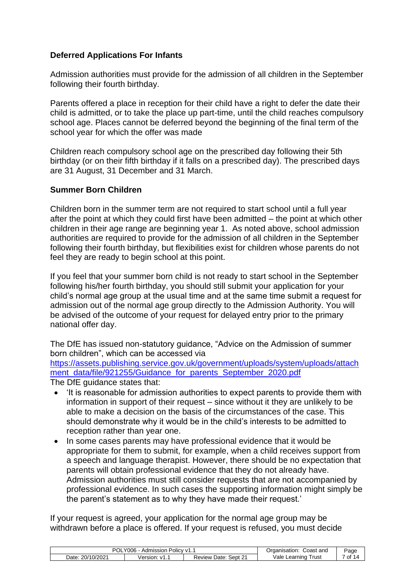#### <span id="page-6-0"></span>**Deferred Applications For Infants**

Admission authorities must provide for the admission of all children in the September following their fourth birthday.

Parents offered a place in reception for their child have a right to defer the date their child is admitted, or to take the place up part-time, until the child reaches compulsory school age. Places cannot be deferred beyond the beginning of the final term of the school year for which the offer was made

Children reach compulsory school age on the prescribed day following their 5th birthday (or on their fifth birthday if it falls on a prescribed day). The prescribed days are 31 August, 31 December and 31 March.

#### <span id="page-6-1"></span>**Summer Born Children**

Children born in the summer term are not required to start school until a full year after the point at which they could first have been admitted – the point at which other children in their age range are beginning year 1. As noted above, school admission authorities are required to provide for the admission of all children in the September following their fourth birthday, but flexibilities exist for children whose parents do not feel they are ready to begin school at this point.

If you feel that your summer born child is not ready to start school in the September following his/her fourth birthday, you should still submit your application for your child's normal age group at the usual time and at the same time submit a request for admission out of the normal age group directly to the Admission Authority. You will be advised of the outcome of your request for delayed entry prior to the primary national offer day.

The DfE has issued non-statutory guidance, "Advice on the Admission of summer born children", which can be accessed via

[https://assets.publishing.service.gov.uk/government/uploads/system/uploads/attach](https://assets.publishing.service.gov.uk/government/uploads/system/uploads/attachment_data/file/921255/Guidance_for_parents_September_2020.pdf) [ment\\_data/file/921255/Guidance\\_for\\_parents\\_September\\_2020.pdf](https://assets.publishing.service.gov.uk/government/uploads/system/uploads/attachment_data/file/921255/Guidance_for_parents_September_2020.pdf)

The DfE guidance states that:

- 'It is reasonable for admission authorities to expect parents to provide them with information in support of their request – since without it they are unlikely to be able to make a decision on the basis of the circumstances of the case. This should demonstrate why it would be in the child's interests to be admitted to reception rather than year one.
- In some cases parents may have professional evidence that it would be appropriate for them to submit, for example, when a child receives support from a speech and language therapist. However, there should be no expectation that parents will obtain professional evidence that they do not already have. Admission authorities must still consider requests that are not accompanied by professional evidence. In such cases the supporting information might simply be the parent's statement as to why they have made their request.'

If your request is agreed, your application for the normal age group may be withdrawn before a place is offered. If your request is refused, you must decide

| ∩כ<br>Y006<br>≅ Policy v1. .<br>Admission |                    |                                   | Coast and<br>Organisation: | Page         |
|-------------------------------------------|--------------------|-----------------------------------|----------------------------|--------------|
| 20/10/2021<br>Date:                       | ersion:<br>∵ v1. . | ົດ<br>Sept 2<br>Date:<br>Review I | /ale<br>⊺rust<br>Learning  | . of 1<br>14 |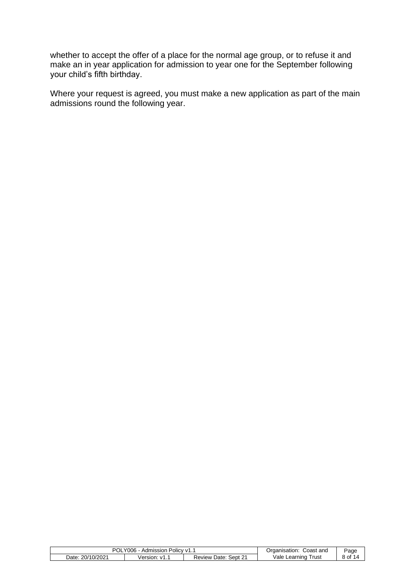whether to accept the offer of a place for the normal age group, or to refuse it and make an in year application for admission to year one for the September following your child's fifth birthday.

Where your request is agreed, you must make a new application as part of the main admissions round the following year.

| POL<br>'006<br>Policy v1.<br>Admission |                | Coast and<br>Jrganisation            | ⊃aα∈                       |    |
|----------------------------------------|----------------|--------------------------------------|----------------------------|----|
| 20/10/2021<br>Date:                    | /ersior<br>. . | $\sim$<br>Sept 21<br>Date:<br>⊀eview | /ale<br>l rust<br>Learning | ot |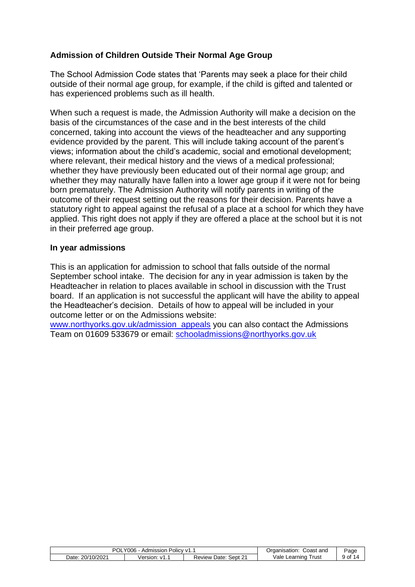# <span id="page-8-0"></span>**Admission of Children Outside Their Normal Age Group**

The School Admission Code states that 'Parents may seek a place for their child outside of their normal age group, for example, if the child is gifted and talented or has experienced problems such as ill health.

When such a request is made, the Admission Authority will make a decision on the basis of the circumstances of the case and in the best interests of the child concerned, taking into account the views of the headteacher and any supporting evidence provided by the parent. This will include taking account of the parent's views; information about the child's academic, social and emotional development; where relevant, their medical history and the views of a medical professional; whether they have previously been educated out of their normal age group; and whether they may naturally have fallen into a lower age group if it were not for being born prematurely. The Admission Authority will notify parents in writing of the outcome of their request setting out the reasons for their decision. Parents have a statutory right to appeal against the refusal of a place at a school for which they have applied. This right does not apply if they are offered a place at the school but it is not in their preferred age group.

#### <span id="page-8-1"></span>**In year admissions**

This is an application for admission to school that falls outside of the normal September school intake. The decision for any in year admission is taken by the Headteacher in relation to places available in school in discussion with the Trust board. If an application is not successful the applicant will have the ability to appeal the Headteacher's decision. Details of how to appeal will be included in your outcome letter or on the Admissions website:

[www.northyorks.gov.uk/admission\\_appeals](http://www.northyorks.gov.uk/admission_appeals) you can also contact the Admissions Team on 01609 533679 or email: [schooladmissions@northyorks.gov.uk](mailto:schooladmissions@northyorks.gov.uk)

| '∩د<br>$\sqrt{006}$ - ,<br>Admission .<br>≅ Policy v1…<br>'UL |          |              | Coast and<br>Organisation: | Page   |
|---------------------------------------------------------------|----------|--------------|----------------------------|--------|
| 20/10/2021                                                    | Version: | Sept 21      | Vale Learning              | 9 of 1 |
| Date:                                                         | ∵ v1. .  | Review Date: | Trust                      |        |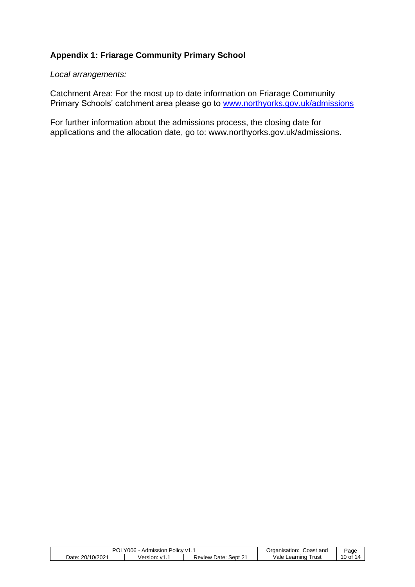# <span id="page-9-0"></span>**Appendix 1: Friarage Community Primary School**

<span id="page-9-1"></span>*Local arrangements:*

Catchment Area: For the most up to date information on Friarage Community Primary Schools' catchment area please go to [www.northyorks.gov.uk/admissions](http://www.northyorks.gov.uk/admissions)

For further information about the admissions process, the closing date for applications and the allocation date, go to: www.northyorks.gov.uk/admissions.

| וחם<br>'006<br>Policy v1. .<br>Admission<br>v<br>UL |                                  |                                        | Coast and<br>Organisation: | <sup>∪</sup> aqe |
|-----------------------------------------------------|----------------------------------|----------------------------------------|----------------------------|------------------|
| 20/10/2021<br>Date:                                 | /ersion:<br>$\ddot{\phantom{1}}$ | $\sim$<br>Sept 21<br>Date:<br>Review ' | Vale<br>Trust<br>Learnıng  | $10o$ f          |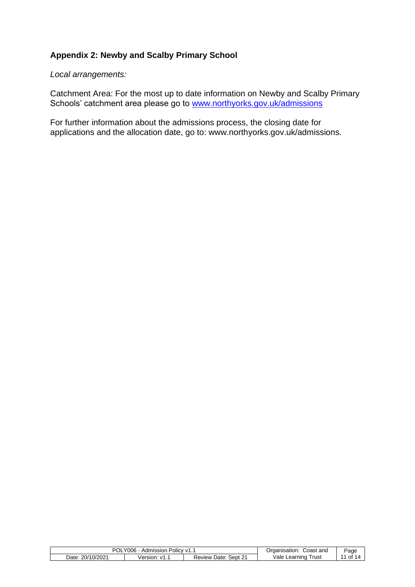# <span id="page-10-0"></span>**Appendix 2: Newby and Scalby Primary School**

<span id="page-10-1"></span>*Local arrangements:*

Catchment Area: For the most up to date information on Newby and Scalby Primary Schools' catchment area please go to [www.northyorks.gov.uk/admissions](http://www.northyorks.gov.uk/admissions)

For further information about the admissions process, the closing date for applications and the allocation date, go to: www.northyorks.gov.uk/admissions.

| וחם<br>006<br>Policy v1. .<br>Admission<br>v |              | Coast and<br>⊃rɑanısatıon              | ⊵aqe                                  |    |
|----------------------------------------------|--------------|----------------------------------------|---------------------------------------|----|
| 20/10/2021<br>Date:                          | /ersion<br>. | $\sim$<br>Sept 21<br>Date∵<br>Review & | <sup>1</sup> ale<br>Trust<br>Learning | 0t |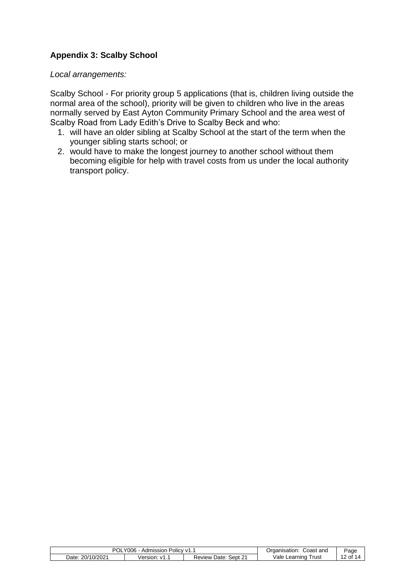# <span id="page-11-0"></span>**Appendix 3: Scalby School**

<span id="page-11-1"></span>*Local arrangements:*

Scalby School - For priority group 5 applications (that is, children living outside the normal area of the school), priority will be given to children who live in the areas normally served by East Ayton Community Primary School and the area west of Scalby Road from Lady Edith's Drive to Scalby Beck and who:

- 1. will have an older sibling at Scalby School at the start of the term when the younger sibling starts school; or
- 2. would have to make the longest journey to another school without them becoming eligible for help with travel costs from us under the local authority transport policy.

| POL.<br>Y006.<br>Admission<br>Policy v1. |                | Coast and<br>Organisation: | Page                      |          |
|------------------------------------------|----------------|----------------------------|---------------------------|----------|
| Date: 20/10/2021                         | Version: v1. . | Sept 2:<br>Date:<br>Review | √ale<br>rust)<br>Learning | 12 of 14 |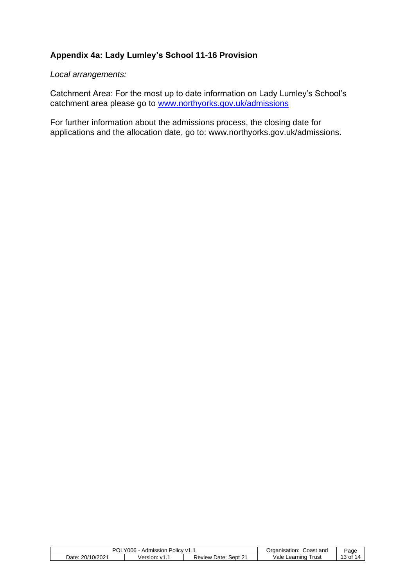# <span id="page-12-0"></span>**Appendix 4a: Lady Lumley's School 11-16 Provision**

<span id="page-12-1"></span>*Local arrangements:*

Catchment Area: For the most up to date information on Lady Lumley's School's catchment area please go to [www.northyorks.gov.uk/admissions](http://www.northyorks.gov.uk/admissions)

For further information about the admissions process, the closing date for applications and the allocation date, go to: www.northyorks.gov.uk/admissions.

| <b>POL</b><br>Y006.<br>Policy V1.<br>Admission . |                    | Coast and<br>Organisation: | Page                      |             |
|--------------------------------------------------|--------------------|----------------------------|---------------------------|-------------|
| . 20/10/2021<br>Date:                            | ersion:<br>∵ v1. . | Sept 21<br>Date:<br>Review | Vale<br>⊺rust<br>Learning | of 1<br>ن √ |